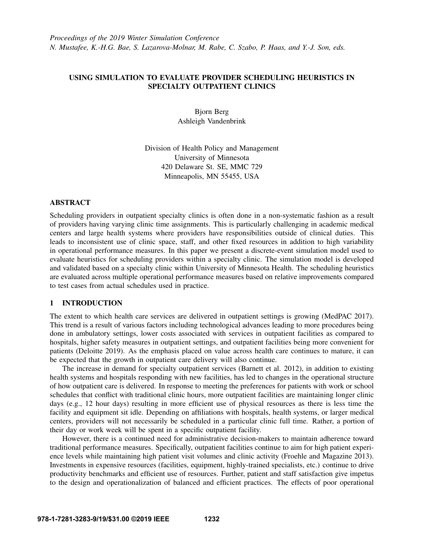# USING SIMULATION TO EVALUATE PROVIDER SCHEDULING HEURISTICS IN SPECIALTY OUTPATIENT CLINICS

Bjorn Berg Ashleigh Vandenbrink

Division of Health Policy and Management University of Minnesota 420 Delaware St. SE, MMC 729 Minneapolis, MN 55455, USA

### ABSTRACT

Scheduling providers in outpatient specialty clinics is often done in a non-systematic fashion as a result of providers having varying clinic time assignments. This is particularly challenging in academic medical centers and large health systems where providers have responsibilities outside of clinical duties. This leads to inconsistent use of clinic space, staff, and other fixed resources in addition to high variability in operational performance measures. In this paper we present a discrete-event simulation model used to evaluate heuristics for scheduling providers within a specialty clinic. The simulation model is developed and validated based on a specialty clinic within University of Minnesota Health. The scheduling heuristics are evaluated across multiple operational performance measures based on relative improvements compared to test cases from actual schedules used in practice.

### 1 INTRODUCTION

The extent to which health care services are delivered in outpatient settings is growing [\(MedPAC 2017\)](#page-10-0). This trend is a result of various factors including technological advances leading to more procedures being done in ambulatory settings, lower costs associated with services in outpatient facilities as compared to hospitals, higher safety measures in outpatient settings, and outpatient facilities being more convenient for patients [\(Deloitte 2019\)](#page-9-0). As the emphasis placed on value across health care continues to mature, it can be expected that the growth in outpatient care delivery will also continue.

The increase in demand for specialty outpatient services [\(Barnett et al. 2012\)](#page-9-1), in addition to existing health systems and hospitals responding with new facilities, has led to changes in the operational structure of how outpatient care is delivered. In response to meeting the preferences for patients with work or school schedules that conflict with traditional clinic hours, more outpatient facilities are maintaining longer clinic days (e.g., 12 hour days) resulting in more efficient use of physical resources as there is less time the facility and equipment sit idle. Depending on affiliations with hospitals, health systems, or larger medical centers, providers will not necessarily be scheduled in a particular clinic full time. Rather, a portion of their day or work week will be spent in a specific outpatient facility.

However, there is a continued need for administrative decision-makers to maintain adherence toward traditional performance measures. Specifically, outpatient facilities continue to aim for high patient experience levels while maintaining high patient visit volumes and clinic activity [\(Froehle and Magazine 2013\)](#page-10-1). Investments in expensive resources (facilities, equipment, highly-trained specialists, etc.) continue to drive productivity benchmarks and efficient use of resources. Further, patient and staff satisfaction give impetus to the design and operationalization of balanced and efficient practices. The effects of poor operational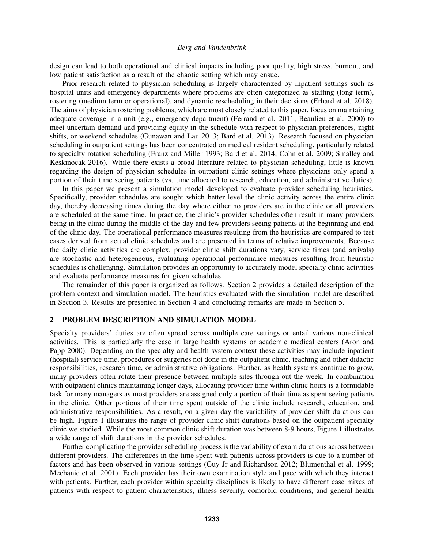design can lead to both operational and clinical impacts including poor quality, high stress, burnout, and low patient satisfaction as a result of the chaotic setting which may ensue.

Prior research related to physician scheduling is largely characterized by inpatient settings such as hospital units and emergency departments where problems are often categorized as staffing (long term), rostering (medium term or operational), and dynamic rescheduling in their decisions [\(Erhard et al. 2018\)](#page-10-2). The aims of physician rostering problems, which are most closely related to this paper, focus on maintaining adequate coverage in a unit (e.g., emergency department) [\(Ferrand et al. 2011;](#page-10-3) [Beaulieu et al. 2000\)](#page-9-2) to meet uncertain demand and providing equity in the schedule with respect to physician preferences, night shifts, or weekend schedules [\(Gunawan and Lau 2013;](#page-10-4) [Bard et al. 2013\)](#page-9-3). Research focused on physician scheduling in outpatient settings has been concentrated on medical resident scheduling, particularly related to specialty rotation scheduling [\(Franz and Miller 1993;](#page-10-5) [Bard et al. 2014;](#page-9-4) [Cohn et al. 2009;](#page-9-5) [Smalley and](#page-10-6) [Keskinocak 2016\)](#page-10-6). While there exists a broad literature related to physician scheduling, little is known regarding the design of physician schedules in outpatient clinic settings where physicians only spend a portion of their time seeing patients (vs. time allocated to research, education, and administrative duties).

In this paper we present a simulation model developed to evaluate provider scheduling heuristics. Specifically, provider schedules are sought which better level the clinic activity across the entire clinic day, thereby decreasing times during the day where either no providers are in the clinic or all providers are scheduled at the same time. In practice, the clinic's provider schedules often result in many providers being in the clinic during the middle of the day and few providers seeing patients at the beginning and end of the clinic day. The operational performance measures resulting from the heuristics are compared to test cases derived from actual clinic schedules and are presented in terms of relative improvements. Because the daily clinic activities are complex, provider clinic shift durations vary, service times (and arrivals) are stochastic and heterogeneous, evaluating operational performance measures resulting from heuristic schedules is challenging. Simulation provides an opportunity to accurately model specialty clinic activities and evaluate performance measures for given schedules.

The remainder of this paper is organized as follows. Section [2](#page-1-0) provides a detailed description of the problem context and simulation model. The heuristics evaluated with the simulation model are described in Section [3.](#page-4-0) Results are presented in Section [4](#page-5-0) and concluding remarks are made in Section [5.](#page-9-6)

# <span id="page-1-0"></span>2 PROBLEM DESCRIPTION AND SIMULATION MODEL

Specialty providers' duties are often spread across multiple care settings or entail various non-clinical activities. This is particularly the case in large health systems or academic medical centers [\(Aron and](#page-9-7) [Papp 2000\)](#page-9-7). Depending on the specialty and health system context these activities may include inpatient (hospital) service time, procedures or surgeries not done in the outpatient clinic, teaching and other didactic responsibilities, research time, or administrative obligations. Further, as health systems continue to grow, many providers often rotate their presence between multiple sites through out the week. In combination with outpatient clinics maintaining longer days, allocating provider time within clinic hours is a formidable task for many managers as most providers are assigned only a portion of their time as spent seeing patients in the clinic. Other portions of their time spent outside of the clinic include research, education, and administrative responsibilities. As a result, on a given day the variability of provider shift durations can be high. Figure [1](#page-2-0) illustrates the range of provider clinic shift durations based on the outpatient specialty clinic we studied. While the most common clinic shift duration was between 8-9 hours, Figure 1 illustrates a wide range of shift durations in the provider schedules.

Further complicating the provider scheduling process is the variability of exam durations across between different providers. The differences in the time spent with patients across providers is due to a number of factors and has been observed in various settings [\(Guy Jr and Richardson 2012;](#page-10-7) [Blumenthal et al. 1999;](#page-9-8) [Mechanic et al. 2001\)](#page-10-8). Each provider has their own examination style and pace with which they interact with patients. Further, each provider within specialty disciplines is likely to have different case mixes of patients with respect to patient characteristics, illness severity, comorbid conditions, and general health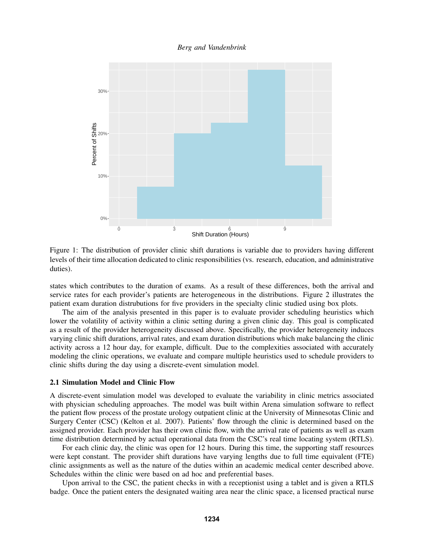

<span id="page-2-0"></span>Figure 1: The distribution of provider clinic shift durations is variable due to providers having different levels of their time allocation dedicated to clinic responsibilities (vs. research, education, and administrative duties).

states which contributes to the duration of exams. As a result of these differences, both the arrival and service rates for each provider's patients are heterogeneous in the distributions. Figure [2](#page-3-0) illustrates the patient exam duration distrubutions for five providers in the specialty clinic studied using box plots.

The aim of the analysis presented in this paper is to evaluate provider scheduling heuristics which lower the volatility of activity within a clinic setting during a given clinic day. This goal is complicated as a result of the provider heterogeneity discussed above. Specifically, the provider heterogeneity induces varying clinic shift durations, arrival rates, and exam duration distributions which make balancing the clinic activity across a 12 hour day, for example, difficult. Due to the complexities associated with accurately modeling the clinic operations, we evaluate and compare multiple heuristics used to schedule providers to clinic shifts during the day using a discrete-event simulation model.

### 2.1 Simulation Model and Clinic Flow

A discrete-event simulation model was developed to evaluate the variability in clinic metrics associated with physician scheduling approaches. The model was built within Arena simulation software to reflect the patient flow process of the prostate urology outpatient clinic at the University of Minnesotas Clinic and Surgery Center (CSC) [\(Kelton et al. 2007\)](#page-10-9). Patients' flow through the clinic is determined based on the assigned provider. Each provider has their own clinic flow, with the arrival rate of patients as well as exam time distribution determined by actual operational data from the CSC's real time locating system (RTLS).

For each clinic day, the clinic was open for 12 hours. During this time, the supporting staff resources were kept constant. The provider shift durations have varying lengths due to full time equivalent (FTE) clinic assignments as well as the nature of the duties within an academic medical center described above. Schedules within the clinic were based on ad hoc and preferential bases.

Upon arrival to the CSC, the patient checks in with a receptionist using a tablet and is given a RTLS badge. Once the patient enters the designated waiting area near the clinic space, a licensed practical nurse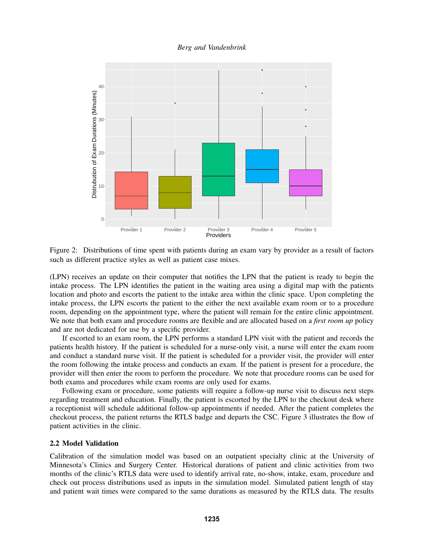

<span id="page-3-0"></span>Figure 2: Distributions of time spent with patients during an exam vary by provider as a result of factors such as different practice styles as well as patient case mixes.

(LPN) receives an update on their computer that notifies the LPN that the patient is ready to begin the intake process. The LPN identifies the patient in the waiting area using a digital map with the patients location and photo and escorts the patient to the intake area within the clinic space. Upon completing the intake process, the LPN escorts the patient to the either the next available exam room or to a procedure room, depending on the appointment type, where the patient will remain for the entire clinic appointment. We note that both exam and procedure rooms are flexible and are allocated based on a *first room up* policy and are not dedicated for use by a specific provider.

If escorted to an exam room, the LPN performs a standard LPN visit with the patient and records the patients health history. If the patient is scheduled for a nurse-only visit, a nurse will enter the exam room and conduct a standard nurse visit. If the patient is scheduled for a provider visit, the provider will enter the room following the intake process and conducts an exam. If the patient is present for a procedure, the provider will then enter the room to perform the procedure. We note that procedure rooms can be used for both exams and procedures while exam rooms are only used for exams.

Following exam or procedure, some patients will require a follow-up nurse visit to discuss next steps regarding treatment and education. Finally, the patient is escorted by the LPN to the checkout desk where a receptionist will schedule additional follow-up appointments if needed. After the patient completes the checkout process, the patient returns the RTLS badge and departs the CSC. Figure [3](#page-4-1) illustrates the flow of patient activities in the clinic.

### 2.2 Model Validation

Calibration of the simulation model was based on an outpatient specialty clinic at the University of Minnesota's Clinics and Surgery Center. Historical durations of patient and clinic activities from two months of the clinic's RTLS data were used to identify arrival rate, no-show, intake, exam, procedure and check out process distributions used as inputs in the simulation model. Simulated patient length of stay and patient wait times were compared to the same durations as measured by the RTLS data. The results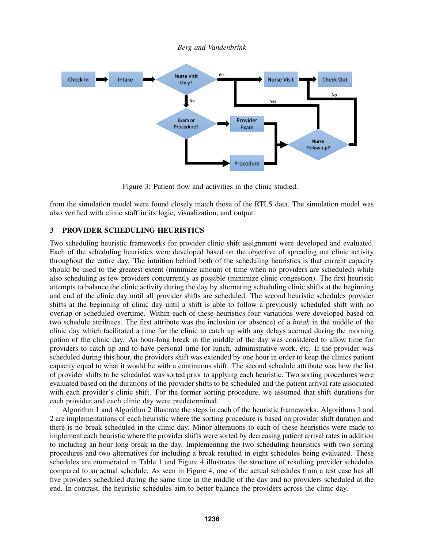

<span id="page-4-1"></span>Figure 3: Patient flow and activities in the clinic studied.

from the simulation model were found closely match those of the RTLS data. The simulation model was also verified with clinic staff in its logic, visualization, and output.

# <span id="page-4-0"></span>3 PROVIDER SCHEDULING HEURISTICS

Two scheduling heuristic frameworks for provider clinic shift assignment were developed and evaluated. Each of the scheduling heuristics were developed based on the objective of spreading out clinic activity throughout the entire day. The intuition behind both of the scheduling heuristics is that current capacity should be used to the greatest extent (minimize amount of time when no providers are scheduled) while also scheduling as few providers concurrently as possible (minimize clinic congestion). The first heuristic attempts to balance the clinic activity during the day by alternating scheduling clinic shifts at the beginning and end of the clinic day until all provider shifts are scheduled. The second heuristic schedules provider shifts at the beginning of clinic day until a shift is able to follow a previously scheduled shift with no overlap or scheduled overtime. Within each of these heuristics four variations were developed based on two schedule attributes. The first attribute was the inclusion (or absence) of a *break* in the middle of the clinic day which facilitated a time for the clinic to catch up with any delays accrued during the morning potion of the clinic day. An hour-long break in the middle of the day was considered to allow time for providers to catch up and to have personal time for lunch, administrative work, etc. If the provider was scheduled during this hour, the providers shift was extended by one hour in order to keep the clinics patient capacity equal to what it would be with a continuous shift. The second schedule attribute was how the list of provider shifts to be scheduled was sorted prior to applying each heuristic. Two sorting procedures were evaluated based on the durations of the provider shifts to be scheduled and the patient arrival rate associated with each provider's clinic shift. For the former sorting procedure, we assumed that shift durations for each provider and each clinic day were predetermined.

Algorithm 1 and Algorithm 2 illustrate the steps in each of the heuristic frameworks. Algorithms 1 and 2 are implementations of each heuristic where the sorting procedure is based on provider shift duration and there is no break scheduled in the clinic day. Minor alterations to each of these heuristics were made to implement each heuristic where the provider shifts were sorted by decreasing patient arrival rates in addition to including an hour-long break in the day. Implementing the two scheduling heuristics with two sorting procedures and two alternatives for including a break resulted in eight schedules being evaluated. These schedules are enumerated in Table 1 and Figure [4](#page-6-0) illustrates the structure of resulting provider schedules compared to an actual schedule. As seen in Figure [4,](#page-6-0) one of the actual schedules from a test case has all five providers scheduled during the same time in the middle of the day and no providers scheduled at the end. In contrast, the heuristic schedules aim to better balance the providers across the clinic day.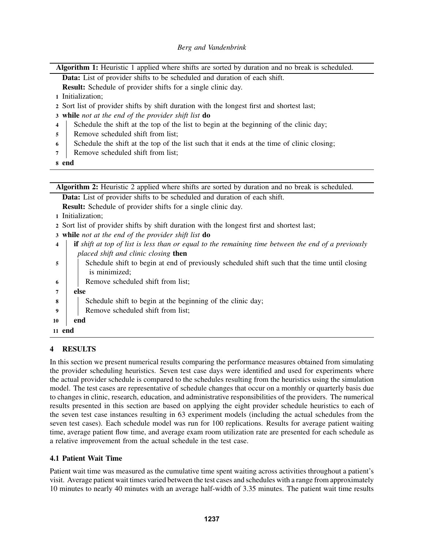Algorithm 1: Heuristic 1 applied where shifts are sorted by duration and no break is scheduled.

Data: List of provider shifts to be scheduled and duration of each shift.

Result: Schedule of provider shifts for a single clinic day.

- 1 Initialization;
- 2 Sort list of provider shifts by shift duration with the longest first and shortest last;
- 3 while *not at the end of the provider shift list* do
- 4 Schedule the shift at the top of the list to begin at the beginning of the clinic day;
- 5 Remove scheduled shift from list;
- 6 Schedule the shift at the top of the list such that it ends at the time of clinic closing;
- 7 Remove scheduled shift from list;
- 8 end

Algorithm 2: Heuristic 2 applied where shifts are sorted by duration and no break is scheduled.

Data: List of provider shifts to be scheduled and duration of each shift.

Result: Schedule of provider shifts for a single clinic day.

- 1 Initialization;
- 2 Sort list of provider shifts by shift duration with the longest first and shortest last;
- 3 while *not at the end of the provider shift list* do
- 4 if *shift at top of list is less than or equal to the remaining time between the end of a previously placed shift and clinic closing* then
- 5 Schedule shift to begin at end of previously scheduled shift such that the time until closing is minimized;
- $\begin{array}{c|c|c|c|c} \hline \text{6} & \text{Remove scheduled shift from list:} \end{array}$
- 7 else
- 8 Schedule shift to begin at the beginning of the clinic day;
- 9 | Remove scheduled shift from list:
- 10 end
- 11 end

# <span id="page-5-0"></span>4 RESULTS

In this section we present numerical results comparing the performance measures obtained from simulating the provider scheduling heuristics. Seven test case days were identified and used for experiments where the actual provider schedule is compared to the schedules resulting from the heuristics using the simulation model. The test cases are representative of schedule changes that occur on a monthly or quarterly basis due to changes in clinic, research, education, and administrative responsibilities of the providers. The numerical results presented in this section are based on applying the eight provider schedule heuristics to each of the seven test case instances resulting in 63 experiment models (including the actual schedules from the seven test cases). Each schedule model was run for 100 replications. Results for average patient waiting time, average patient flow time, and average exam room utilization rate are presented for each schedule as a relative improvement from the actual schedule in the test case.

# 4.1 Patient Wait Time

Patient wait time was measured as the cumulative time spent waiting across activities throughout a patient's visit. Average patient wait times varied between the test cases and schedules with a range from approximately 10 minutes to nearly 40 minutes with an average half-width of 3.35 minutes. The patient wait time results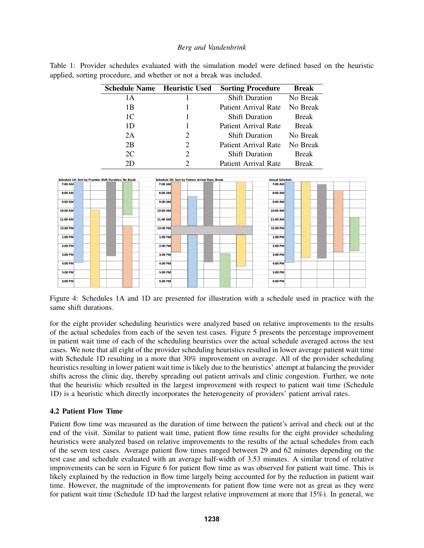| <b>Schedule Name</b> Heuristic Used |               | <b>Sorting Procedure</b> | <b>Break</b> |
|-------------------------------------|---------------|--------------------------|--------------|
| 1 A                                 |               | <b>Shift Duration</b>    | No Break     |
| 1 B                                 |               | Patient Arrival Rate     | No Break     |
| 1 <sup>C</sup>                      | 1             | <b>Shift Duration</b>    | <b>Break</b> |
| 1D                                  | 1             | Patient Arrival Rate     | <b>Break</b> |
| 2A                                  | 2             | <b>Shift Duration</b>    | No Break     |
| 2B                                  | 2             | Patient Arrival Rate     | No Break     |
| 2C                                  | 2             | <b>Shift Duration</b>    | <b>Break</b> |
| 2D                                  | $\mathcal{P}$ | Patient Arrival Rate     | <b>Break</b> |

Table 1: Provider schedules evaluated with the simulation model were defined based on the heuristic applied, sorting procedure, and whether or not a break was included.



<span id="page-6-0"></span>Figure 4: Schedules 1A and 1D are presented for illustration with a schedule used in practice with the same shift durations.

for the eight provider scheduling heuristics were analyzed based on relative improvements to the results of the actual schedules from each of the seven test cases. Figure [5](#page-7-0) presents the percentage improvement in patient wait time of each of the scheduling heuristics over the actual schedule averaged across the test cases. We note that all eight of the provider scheduling heuristics resulted in lower average patient wait time with Schedule 1D resulting in a more that 30% improvement on average. All of the provider scheduling heuristics resulting in lower patient wait time is likely due to the heuristics' attempt at balancing the provider shifts across the clinic day, thereby spreading out patient arrivals and clinic congestion. Further, we note that the heuristic which resulted in the largest improvement with respect to patient wait time (Schedule 1D) is a heuristic which directly incorporates the heterogeneity of providers' patient arrival rates.

## 4.2 Patient Flow Time

Patient flow time was measured as the duration of time between the patient's arrival and check out at the end of the visit. Similar to patient wait time, patient flow time results for the eight provider scheduling heuristics were analyzed based on relative improvements to the results of the actual schedules from each of the seven test cases. Average patient flow times ranged between 29 and 62 minutes depending on the test case and schedule evaluated with an average half-width of 3.53 minutes. A similar trend of relative improvements can be seen in Figure [6](#page-8-0) for patient flow time as was observed for patient wait time. This is likely explained by the reduction in flow time largely being accounted for by the reduction in patient wait time. However, the magnitude of the improvements for patient flow time were not as great as they were for patient wait time (Schedule 1D had the largest relative improvement at more that 15%). In general, we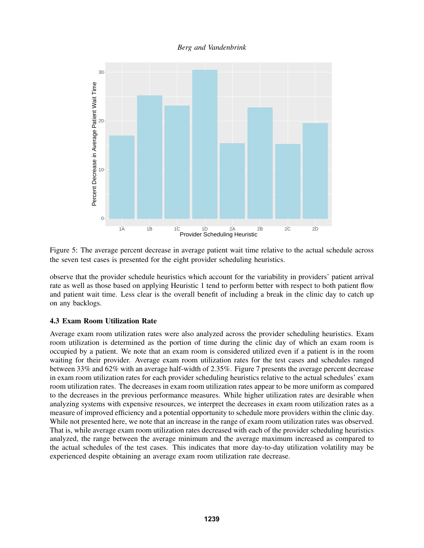

<span id="page-7-0"></span>Figure 5: The average percent decrease in average patient wait time relative to the actual schedule across the seven test cases is presented for the eight provider scheduling heuristics.

observe that the provider schedule heuristics which account for the variability in providers' patient arrival rate as well as those based on applying Heuristic 1 tend to perform better with respect to both patient flow and patient wait time. Less clear is the overall benefit of including a break in the clinic day to catch up on any backlogs.

## 4.3 Exam Room Utilization Rate

Average exam room utilization rates were also analyzed across the provider scheduling heuristics. Exam room utilization is determined as the portion of time during the clinic day of which an exam room is occupied by a patient. We note that an exam room is considered utilized even if a patient is in the room waiting for their provider. Average exam room utilization rates for the test cases and schedules ranged between 33% and 62% with an average half-width of 2.35%. Figure [7](#page-8-1) presents the average percent decrease in exam room utilization rates for each provider scheduling heuristics relative to the actual schedules' exam room utilization rates. The decreases in exam room utilization rates appear to be more uniform as compared to the decreases in the previous performance measures. While higher utilization rates are desirable when analyzing systems with expensive resources, we interpret the decreases in exam room utilization rates as a measure of improved efficiency and a potential opportunity to schedule more providers within the clinic day. While not presented here, we note that an increase in the range of exam room utilization rates was observed. That is, while average exam room utilization rates decreased with each of the provider scheduling heuristics analyzed, the range between the average minimum and the average maximum increased as compared to the actual schedules of the test cases. This indicates that more day-to-day utilization volatility may be experienced despite obtaining an average exam room utilization rate decrease.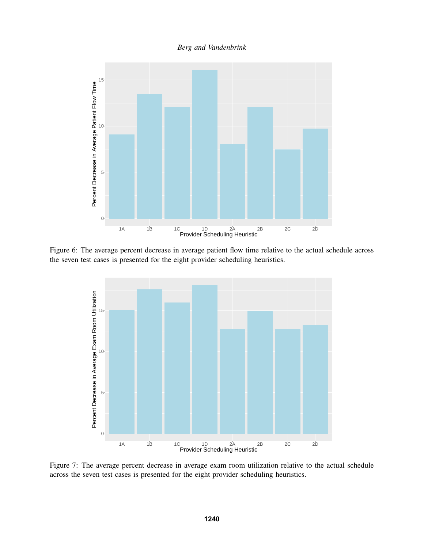

Figure 6: The average percent decrease in average patient flow time relative to the actual schedule across the seven test cases is presented for the eight provider scheduling heuristics.

<span id="page-8-0"></span>

<span id="page-8-1"></span>Figure 7: The average percent decrease in average exam room utilization relative to the actual schedule across the seven test cases is presented for the eight provider scheduling heuristics.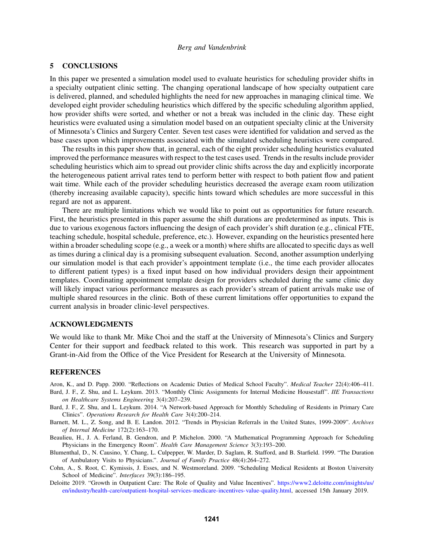### <span id="page-9-6"></span>5 CONCLUSIONS

In this paper we presented a simulation model used to evaluate heuristics for scheduling provider shifts in a specialty outpatient clinic setting. The changing operational landscape of how specialty outpatient care is delivered, planned, and scheduled highlights the need for new approaches in managing clinical time. We developed eight provider scheduling heuristics which differed by the specific scheduling algorithm applied, how provider shifts were sorted, and whether or not a break was included in the clinic day. These eight heuristics were evaluated using a simulation model based on an outpatient specialty clinic at the University of Minnesota's Clinics and Surgery Center. Seven test cases were identified for validation and served as the base cases upon which improvements associated with the simulated scheduling heuristics were compared.

The results in this paper show that, in general, each of the eight provider scheduling heuristics evaluated improved the performance measures with respect to the test cases used. Trends in the results include provider scheduling heuristics which aim to spread out provider clinic shifts across the day and explicitly incorporate the heterogeneous patient arrival rates tend to perform better with respect to both patient flow and patient wait time. While each of the provider scheduling heuristics decreased the average exam room utilization (thereby increasing available capacity), specific hints toward which schedules are more successful in this regard are not as apparent.

There are multiple limitations which we would like to point out as opportunities for future research. First, the heuristics presented in this paper assume the shift durations are predetermined as inputs. This is due to various exogenous factors influencing the design of each provider's shift duration (e.g., clinical FTE, teaching schedule, hospital schedule, preference, etc.). However, expanding on the heuristics presented here within a broader scheduling scope (e.g., a week or a month) where shifts are allocated to specific days as well as times during a clinical day is a promising subsequent evaluation. Second, another assumption underlying our simulation model is that each provider's appointment template (i.e., the time each provider allocates to different patient types) is a fixed input based on how individual providers design their appointment templates. Coordinating appointment template design for providers scheduled during the same clinic day will likely impact various performance measures as each provider's stream of patient arrivals make use of multiple shared resources in the clinic. Both of these current limitations offer opportunities to expand the current analysis in broader clinic-level perspectives.

## ACKNOWLEDGMENTS

We would like to thank Mr. Mike Choi and the staff at the University of Minnesota's Clinics and Surgery Center for their support and feedback related to this work. This research was supported in part by a Grant-in-Aid from the Office of the Vice President for Research at the University of Minnesota.

#### **REFERENCES**

<span id="page-9-7"></span>Aron, K., and D. Papp. 2000. "Reflections on Academic Duties of Medical School Faculty". *Medical Teacher* 22(4):406–411.

- <span id="page-9-3"></span>Bard, J. F., Z. Shu, and L. Leykum. 2013. "Monthly Clinic Assignments for Internal Medicine Housestaff". *IIE Transactions on Healthcare Systems Engineering* 3(4):207–239.
- <span id="page-9-4"></span>Bard, J. F., Z. Shu, and L. Leykum. 2014. "A Network-based Approach for Monthly Scheduling of Residents in Primary Care Clinics". *Operations Research for Health Care* 3(4):200–214.
- <span id="page-9-1"></span>Barnett, M. L., Z. Song, and B. E. Landon. 2012. "Trends in Physician Referrals in the United States, 1999-2009". *Archives of Internal Medicine* 172(2):163–170.
- <span id="page-9-2"></span>Beaulieu, H., J. A. Ferland, B. Gendron, and P. Michelon. 2000. "A Mathematical Programming Approach for Scheduling Physicians in the Emergency Room". *Health Care Management Science* 3(3):193–200.
- <span id="page-9-8"></span>Blumenthal, D., N. Causino, Y. Chang, L. Culpepper, W. Marder, D. Saglam, R. Stafford, and B. Starfield. 1999. "The Duration of Ambulatory Visits to Physicians.". *Journal of Family Practice* 48(4):264–272.
- <span id="page-9-5"></span>Cohn, A., S. Root, C. Kymissis, J. Esses, and N. Westmoreland. 2009. "Scheduling Medical Residents at Boston University School of Medicine". *Interfaces* 39(3):186–195.
- <span id="page-9-0"></span>Deloitte 2019. "Growth in Outpatient Care: The Role of Quality and Value Incentives". [https://www2.deloitte.com/insights/us/](https://www2.deloitte.com/insights/us/en/industry/health-care/outpatient-hospital-services-medicare-incentives-value-quality.html) [en/industry/health-care/outpatient-hospital-services-medicare-incentives-value-quality.html,](https://www2.deloitte.com/insights/us/en/industry/health-care/outpatient-hospital-services-medicare-incentives-value-quality.html) accessed 15th January 2019.